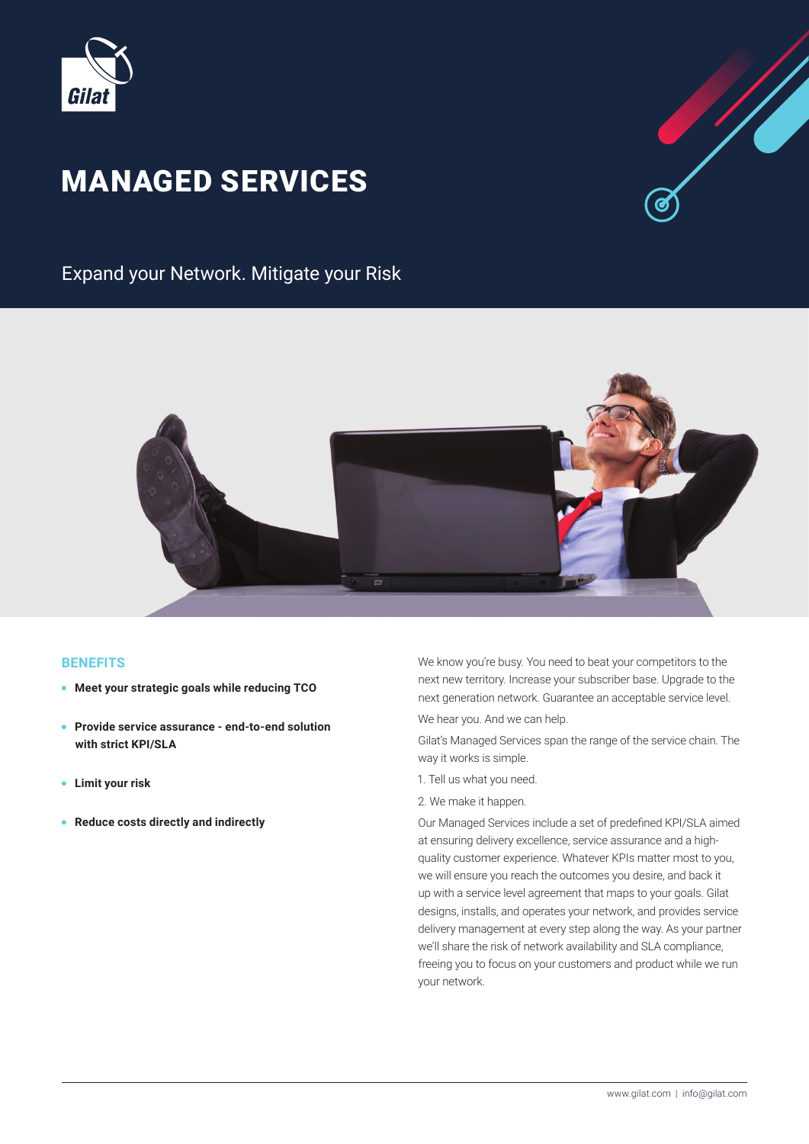

# **MANAGED SERVICES**



Expand your Network. Mitigate your Risk



#### **BENEFITS**

- **Meet your strategic goals while reducing TCO**
- **Provide service assurance end-to-end solution** with strict **KPI/SLA**
- **•** Limit your risk
- **Reduce costs directly and indirectly**

We know you're busy. You need to beat your competitors to the next new territory. Increase your subscriber base. Upgrade to the next generation network. Guarantee an acceptable service level.

We hear you. And we can help.

Gilat's Managed Services span the range of the service chain. The way it works is simple.

- 1. Tell us what you need.
- 2. We make it happen.

Our Managed Services include a set of predefined KPI/SLA aimed quality customer experience. Whatever KPIs matter most to you, at ensuring delivery excellence, service assurance and a highwe will ensure you reach the outcomes you desire, and back it up with a service level agreement that maps to your goals. Gilat designs, installs, and operates your network, and provides service delivery management at every step along the way. As your partner we'll share the risk of network availability and SLA compliance, freeing you to focus on your customers and product while we run your network.